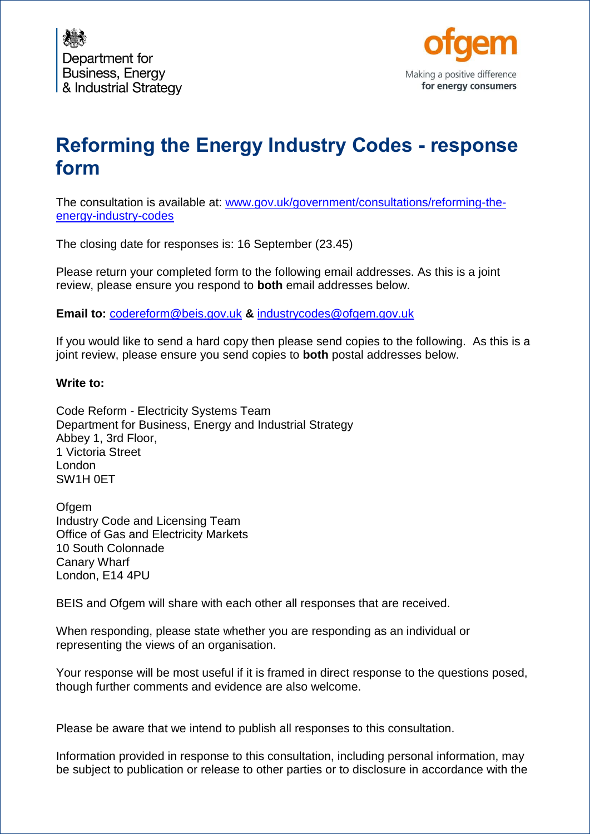



# **Reforming the Energy Industry Codes - response form**

The consultation is available at: [www.gov.uk/government/consultations/reforming-the](https://www.gov.uk/government/consultations/reforming-the-energy-industry-codes)[energy-industry-codes](https://www.gov.uk/government/consultations/reforming-the-energy-industry-codes)

The closing date for responses is: 16 September (23.45)

Please return your completed form to the following email addresses. As this is a joint review, please ensure you respond to **both** email addresses below.

**Email to:** [codereform@beis.gov.uk](mailto:codereform@beis.gov.uk) **&** [industrycodes@ofgem.gov.uk](mailto:industrycodes@ofgem.gov.uk)

If you would like to send a hard copy then please send copies to the following. As this is a joint review, please ensure you send copies to **both** postal addresses below.

## **Write to:**

Code Reform - Electricity Systems Team Department for Business, Energy and Industrial Strategy Abbey 1, 3rd Floor, 1 Victoria Street London SW1H 0ET

**Ofgem** Industry Code and Licensing Team Office of Gas and Electricity Markets 10 South Colonnade Canary Wharf London, E14 4PU

BEIS and Ofgem will share with each other all responses that are received.

When responding, please state whether you are responding as an individual or representing the views of an organisation.

Your response will be most useful if it is framed in direct response to the questions posed, though further comments and evidence are also welcome.

Please be aware that we intend to publish all responses to this consultation.

Information provided in response to this consultation, including personal information, may be subject to publication or release to other parties or to disclosure in accordance with the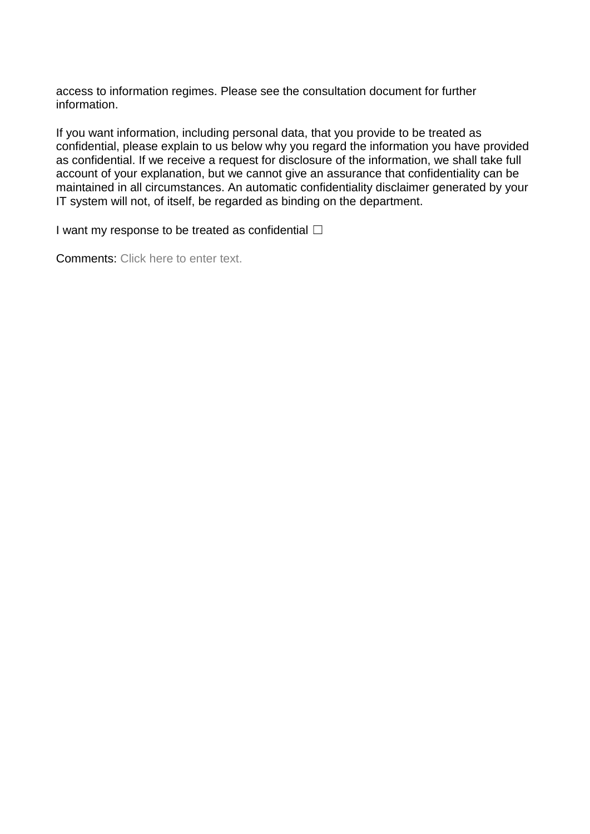access to information regimes. Please see the consultation document for further information.

If you want information, including personal data, that you provide to be treated as confidential, please explain to us below why you regard the information you have provided as confidential. If we receive a request for disclosure of the information, we shall take full account of your explanation, but we cannot give an assurance that confidentiality can be maintained in all circumstances. An automatic confidentiality disclaimer generated by your IT system will not, of itself, be regarded as binding on the department.

I want my response to be treated as confidential  $\Box$ 

Comments: Click here to enter text.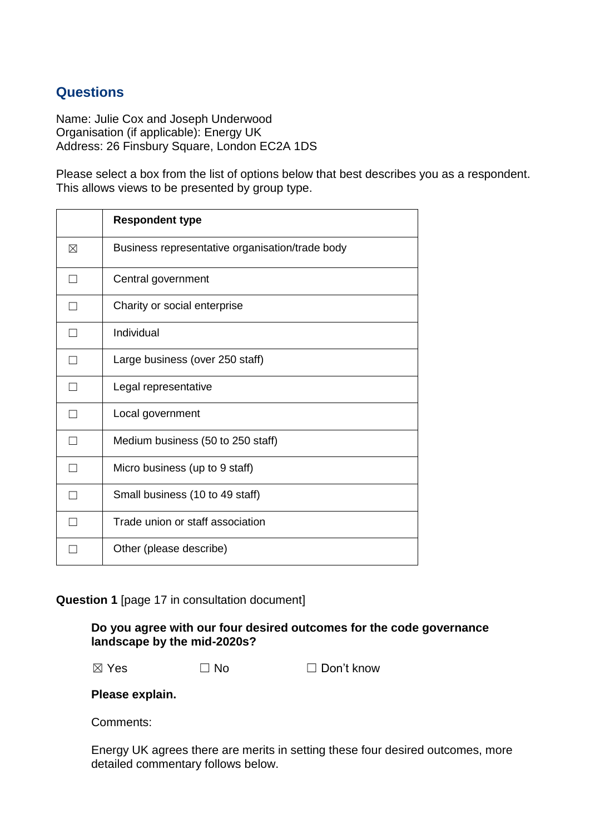## **Questions**

Name: Julie Cox and Joseph Underwood Organisation (if applicable): Energy UK Address: 26 Finsbury Square, London EC2A 1DS

Please select a box from the list of options below that best describes you as a respondent. This allows views to be presented by group type.

|   | <b>Respondent type</b>                          |
|---|-------------------------------------------------|
| ⊠ | Business representative organisation/trade body |
|   | Central government                              |
|   | Charity or social enterprise                    |
|   | Individual                                      |
|   | Large business (over 250 staff)                 |
|   | Legal representative                            |
|   | Local government                                |
|   | Medium business (50 to 250 staff)               |
|   | Micro business (up to 9 staff)                  |
|   | Small business (10 to 49 staff)                 |
|   | Trade union or staff association                |
|   | Other (please describe)                         |

## **Question 1** [page 17 in consultation document]

## **Do you agree with our four desired outcomes for the code governance landscape by the mid-2020s?**

 $\boxtimes$  Yes  $\Box$  No  $\Box$  Don't know

## **Please explain.**

Comments:

Energy UK agrees there are merits in setting these four desired outcomes, more detailed commentary follows below.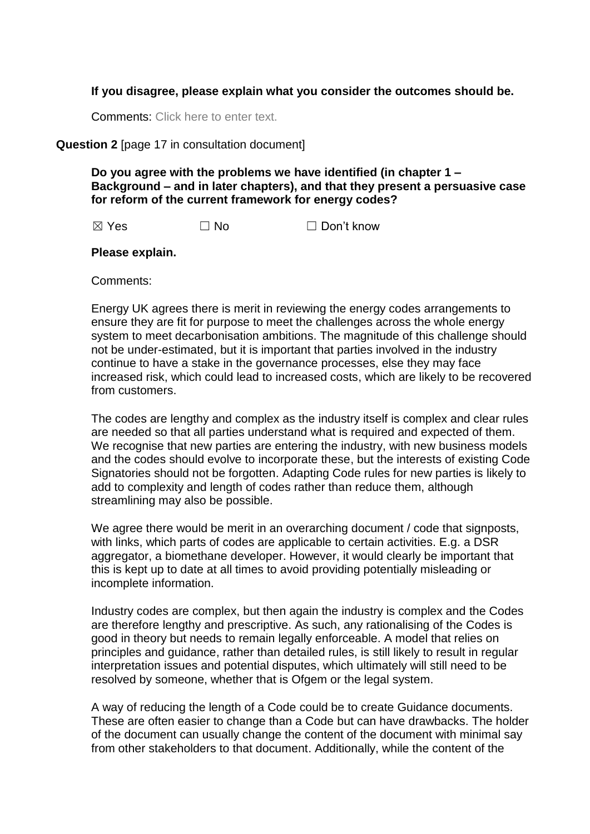## **If you disagree, please explain what you consider the outcomes should be.**

Comments: Click here to enter text.

## **Question 2** [page 17 in consultation document]

**Do you agree with the problems we have identified (in chapter 1 – Background – and in later chapters), and that they present a persuasive case for reform of the current framework for energy codes?**

 $\boxtimes$  Yes  $\Box$  No  $\Box$  Don't know

#### **Please explain.**

Comments:

Energy UK agrees there is merit in reviewing the energy codes arrangements to ensure they are fit for purpose to meet the challenges across the whole energy system to meet decarbonisation ambitions. The magnitude of this challenge should not be under-estimated, but it is important that parties involved in the industry continue to have a stake in the governance processes, else they may face increased risk, which could lead to increased costs, which are likely to be recovered from customers.

The codes are lengthy and complex as the industry itself is complex and clear rules are needed so that all parties understand what is required and expected of them. We recognise that new parties are entering the industry, with new business models and the codes should evolve to incorporate these, but the interests of existing Code Signatories should not be forgotten. Adapting Code rules for new parties is likely to add to complexity and length of codes rather than reduce them, although streamlining may also be possible.

We agree there would be merit in an overarching document / code that signposts, with links, which parts of codes are applicable to certain activities. E.g. a DSR aggregator, a biomethane developer. However, it would clearly be important that this is kept up to date at all times to avoid providing potentially misleading or incomplete information.

Industry codes are complex, but then again the industry is complex and the Codes are therefore lengthy and prescriptive. As such, any rationalising of the Codes is good in theory but needs to remain legally enforceable. A model that relies on principles and guidance, rather than detailed rules, is still likely to result in regular interpretation issues and potential disputes, which ultimately will still need to be resolved by someone, whether that is Ofgem or the legal system.

A way of reducing the length of a Code could be to create Guidance documents. These are often easier to change than a Code but can have drawbacks. The holder of the document can usually change the content of the document with minimal say from other stakeholders to that document. Additionally, while the content of the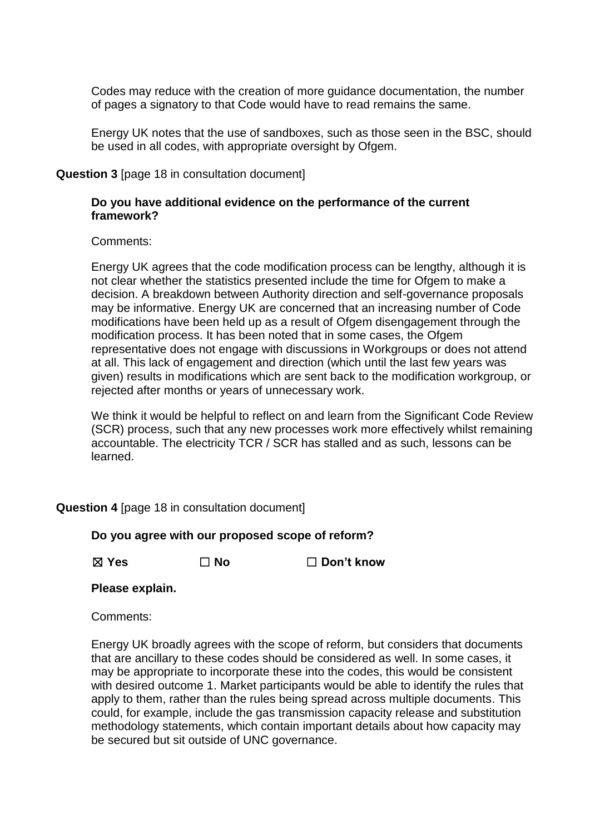Codes may reduce with the creation of more guidance documentation, the number of pages a signatory to that Code would have to read remains the same.

Energy UK notes that the use of sandboxes, such as those seen in the BSC, should be used in all codes, with appropriate oversight by Ofgem.

**Question 3** [page 18 in consultation document]

## **Do you have additional evidence on the performance of the current framework?**

Comments:

Energy UK agrees that the code modification process can be lengthy, although it is not clear whether the statistics presented include the time for Ofgem to make a decision. A breakdown between Authority direction and self-governance proposals may be informative. Energy UK are concerned that an increasing number of Code modifications have been held up as a result of Ofgem disengagement through the modification process. It has been noted that in some cases, the Ofgem representative does not engage with discussions in Workgroups or does not attend at all. This lack of engagement and direction (which until the last few years was given) results in modifications which are sent back to the modification workgroup, or rejected after months or years of unnecessary work.

We think it would be helpful to reflect on and learn from the Significant Code Review (SCR) process, such that any new processes work more effectively whilst remaining accountable. The electricity TCR / SCR has stalled and as such, lessons can be learned.

**Question 4** [page 18 in consultation document]

**Do you agree with our proposed scope of reform?**

☒ **Yes** ☐ **No** ☐ **Don't know**

**Please explain.**

Comments:

Energy UK broadly agrees with the scope of reform, but considers that documents that are ancillary to these codes should be considered as well. In some cases, it may be appropriate to incorporate these into the codes, this would be consistent with desired outcome 1. Market participants would be able to identify the rules that apply to them, rather than the rules being spread across multiple documents. This could, for example, include the gas transmission capacity release and substitution methodology statements, which contain important details about how capacity may be secured but sit outside of UNC governance.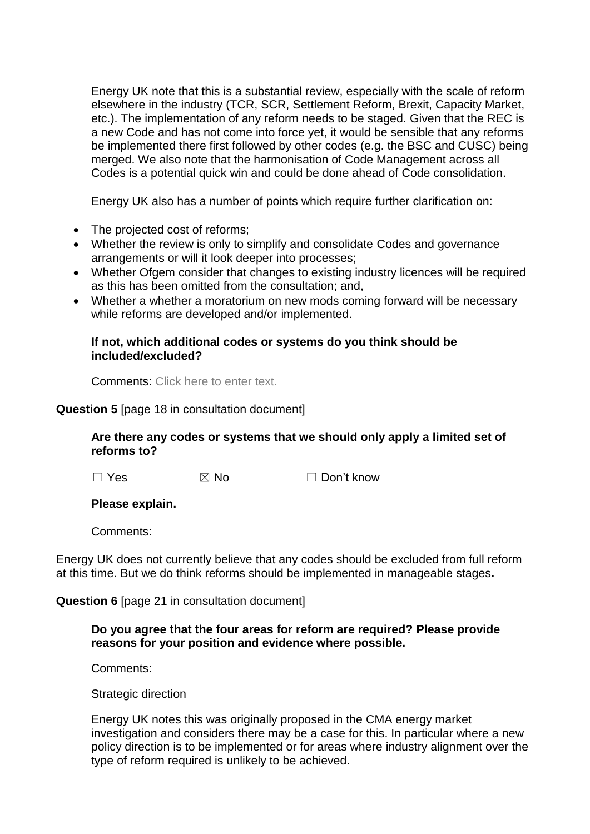Energy UK note that this is a substantial review, especially with the scale of reform elsewhere in the industry (TCR, SCR, Settlement Reform, Brexit, Capacity Market, etc.). The implementation of any reform needs to be staged. Given that the REC is a new Code and has not come into force yet, it would be sensible that any reforms be implemented there first followed by other codes (e.g. the BSC and CUSC) being merged. We also note that the harmonisation of Code Management across all Codes is a potential quick win and could be done ahead of Code consolidation.

Energy UK also has a number of points which require further clarification on:

- The projected cost of reforms;
- Whether the review is only to simplify and consolidate Codes and governance arrangements or will it look deeper into processes;
- Whether Ofgem consider that changes to existing industry licences will be required as this has been omitted from the consultation; and,
- Whether a whether a moratorium on new mods coming forward will be necessary while reforms are developed and/or implemented.

## **If not, which additional codes or systems do you think should be included/excluded?**

Comments: Click here to enter text.

## **Question 5** [page 18 in consultation document]

## **Are there any codes or systems that we should only apply a limited set of reforms to?**

 $\Box$  Yes  $\boxtimes$  No  $\Box$  Don't know

## **Please explain.**

Comments:

Energy UK does not currently believe that any codes should be excluded from full reform at this time. But we do think reforms should be implemented in manageable stages**.** 

**Question 6** [page 21 in consultation document]

## **Do you agree that the four areas for reform are required? Please provide reasons for your position and evidence where possible.**

Comments:

Strategic direction

Energy UK notes this was originally proposed in the CMA energy market investigation and considers there may be a case for this. In particular where a new policy direction is to be implemented or for areas where industry alignment over the type of reform required is unlikely to be achieved.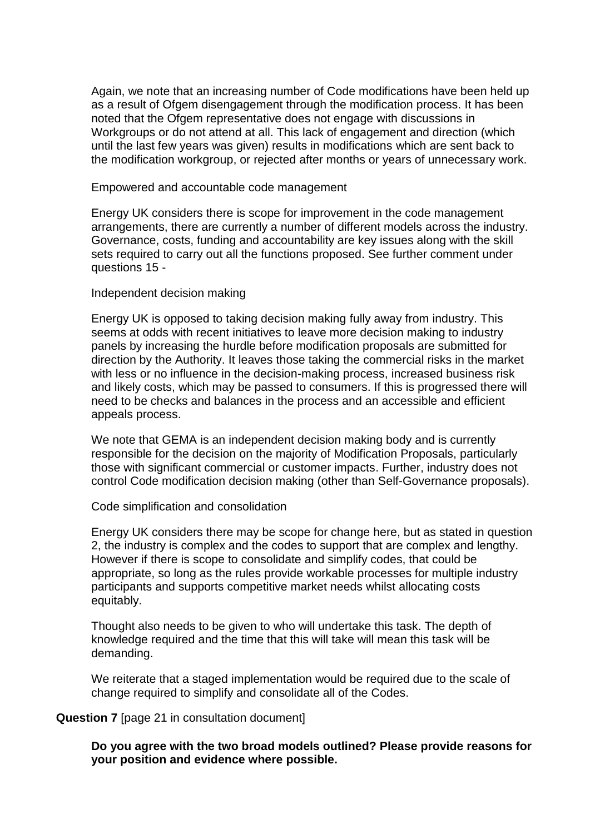Again, we note that an increasing number of Code modifications have been held up as a result of Ofgem disengagement through the modification process. It has been noted that the Ofgem representative does not engage with discussions in Workgroups or do not attend at all. This lack of engagement and direction (which until the last few years was given) results in modifications which are sent back to the modification workgroup, or rejected after months or years of unnecessary work.

#### Empowered and accountable code management

Energy UK considers there is scope for improvement in the code management arrangements, there are currently a number of different models across the industry. Governance, costs, funding and accountability are key issues along with the skill sets required to carry out all the functions proposed. See further comment under questions 15 -

## Independent decision making

Energy UK is opposed to taking decision making fully away from industry. This seems at odds with recent initiatives to leave more decision making to industry panels by increasing the hurdle before modification proposals are submitted for direction by the Authority. It leaves those taking the commercial risks in the market with less or no influence in the decision-making process, increased business risk and likely costs, which may be passed to consumers. If this is progressed there will need to be checks and balances in the process and an accessible and efficient appeals process.

We note that GEMA is an independent decision making body and is currently responsible for the decision on the majority of Modification Proposals, particularly those with significant commercial or customer impacts. Further, industry does not control Code modification decision making (other than Self-Governance proposals).

## Code simplification and consolidation

Energy UK considers there may be scope for change here, but as stated in question 2, the industry is complex and the codes to support that are complex and lengthy. However if there is scope to consolidate and simplify codes, that could be appropriate, so long as the rules provide workable processes for multiple industry participants and supports competitive market needs whilst allocating costs equitably.

Thought also needs to be given to who will undertake this task. The depth of knowledge required and the time that this will take will mean this task will be demanding.

We reiterate that a staged implementation would be required due to the scale of change required to simplify and consolidate all of the Codes.

## **Question 7** [page 21 in consultation document]

**Do you agree with the two broad models outlined? Please provide reasons for your position and evidence where possible.**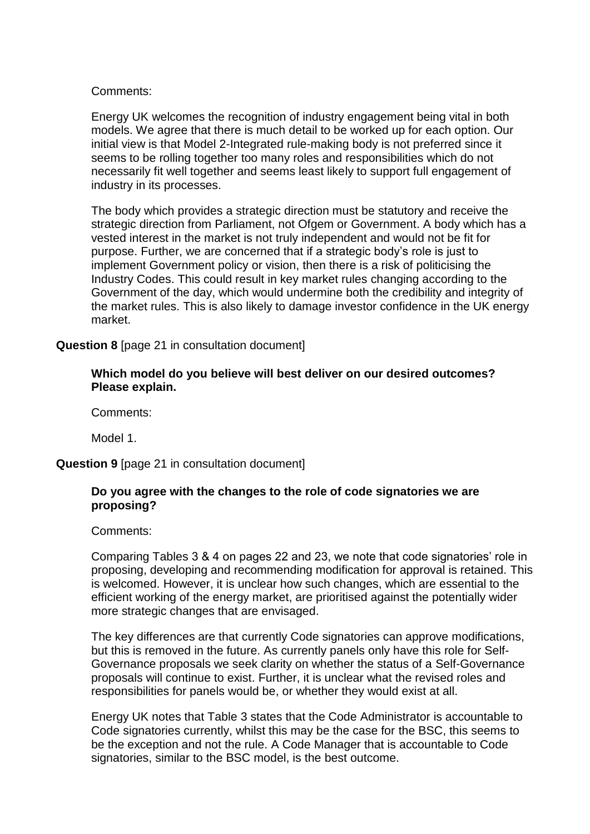## Comments:

Energy UK welcomes the recognition of industry engagement being vital in both models. We agree that there is much detail to be worked up for each option. Our initial view is that Model 2-Integrated rule-making body is not preferred since it seems to be rolling together too many roles and responsibilities which do not necessarily fit well together and seems least likely to support full engagement of industry in its processes.

The body which provides a strategic direction must be statutory and receive the strategic direction from Parliament, not Ofgem or Government. A body which has a vested interest in the market is not truly independent and would not be fit for purpose. Further, we are concerned that if a strategic body's role is just to implement Government policy or vision, then there is a risk of politicising the Industry Codes. This could result in key market rules changing according to the Government of the day, which would undermine both the credibility and integrity of the market rules. This is also likely to damage investor confidence in the UK energy market.

**Question 8** [page 21 in consultation document]

## **Which model do you believe will best deliver on our desired outcomes? Please explain.**

Comments:

Model 1.

**Question 9** [page 21 in consultation document]

## **Do you agree with the changes to the role of code signatories we are proposing?**

Comments:

Comparing Tables 3 & 4 on pages 22 and 23, we note that code signatories' role in proposing, developing and recommending modification for approval is retained. This is welcomed. However, it is unclear how such changes, which are essential to the efficient working of the energy market, are prioritised against the potentially wider more strategic changes that are envisaged.

The key differences are that currently Code signatories can approve modifications, but this is removed in the future. As currently panels only have this role for Self-Governance proposals we seek clarity on whether the status of a Self-Governance proposals will continue to exist. Further, it is unclear what the revised roles and responsibilities for panels would be, or whether they would exist at all.

Energy UK notes that Table 3 states that the Code Administrator is accountable to Code signatories currently, whilst this may be the case for the BSC, this seems to be the exception and not the rule. A Code Manager that is accountable to Code signatories, similar to the BSC model, is the best outcome.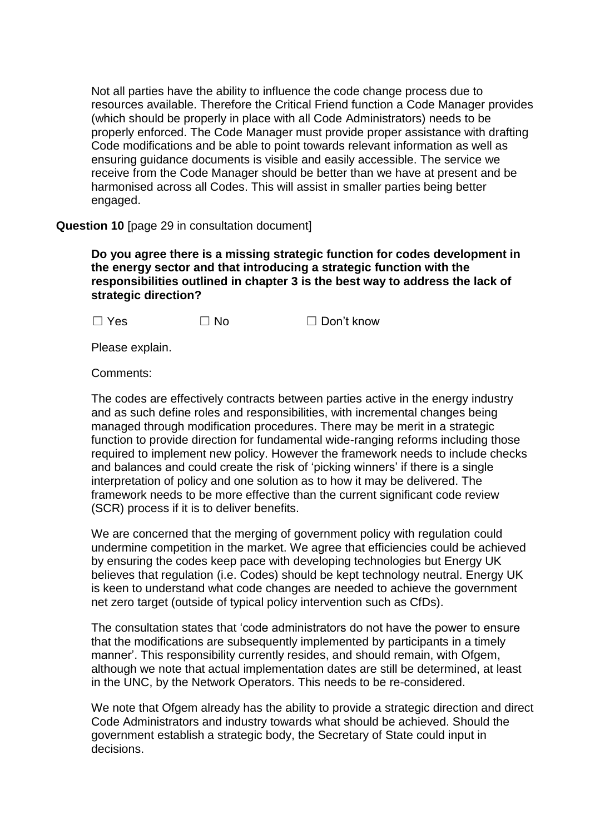Not all parties have the ability to influence the code change process due to resources available. Therefore the Critical Friend function a Code Manager provides (which should be properly in place with all Code Administrators) needs to be properly enforced. The Code Manager must provide proper assistance with drafting Code modifications and be able to point towards relevant information as well as ensuring guidance documents is visible and easily accessible. The service we receive from the Code Manager should be better than we have at present and be harmonised across all Codes. This will assist in smaller parties being better engaged.

## **Question 10** [page 29 in consultation document]

**Do you agree there is a missing strategic function for codes development in the energy sector and that introducing a strategic function with the responsibilities outlined in chapter 3 is the best way to address the lack of strategic direction?** 

 $\Box$  Yes  $\Box$  No  $\Box$  Don't know

Please explain.

Comments:

The codes are effectively contracts between parties active in the energy industry and as such define roles and responsibilities, with incremental changes being managed through modification procedures. There may be merit in a strategic function to provide direction for fundamental wide-ranging reforms including those required to implement new policy. However the framework needs to include checks and balances and could create the risk of 'picking winners' if there is a single interpretation of policy and one solution as to how it may be delivered. The framework needs to be more effective than the current significant code review (SCR) process if it is to deliver benefits.

We are concerned that the merging of government policy with regulation could undermine competition in the market. We agree that efficiencies could be achieved by ensuring the codes keep pace with developing technologies but Energy UK believes that regulation (i.e. Codes) should be kept technology neutral. Energy UK is keen to understand what code changes are needed to achieve the government net zero target (outside of typical policy intervention such as CfDs).

The consultation states that 'code administrators do not have the power to ensure that the modifications are subsequently implemented by participants in a timely manner'. This responsibility currently resides, and should remain, with Ofgem, although we note that actual implementation dates are still be determined, at least in the UNC, by the Network Operators. This needs to be re-considered.

We note that Ofgem already has the ability to provide a strategic direction and direct Code Administrators and industry towards what should be achieved. Should the government establish a strategic body, the Secretary of State could input in decisions.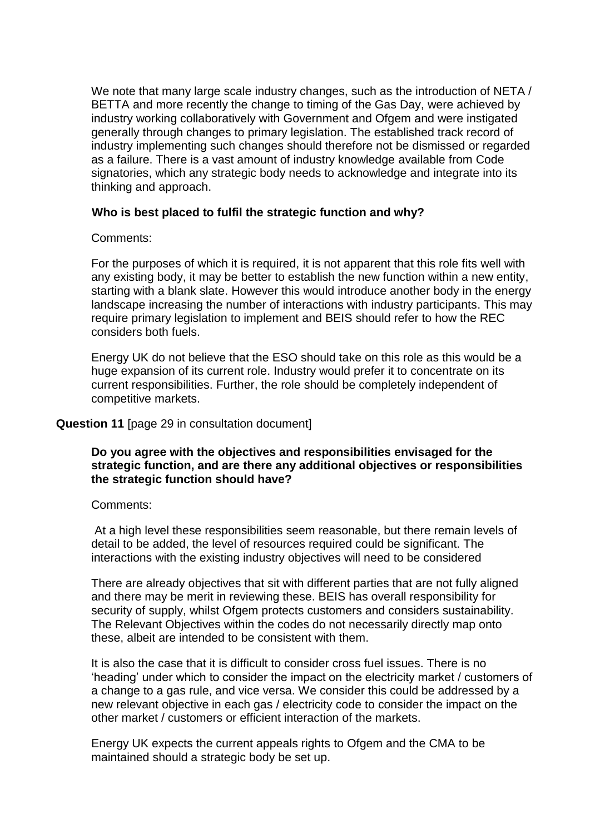We note that many large scale industry changes, such as the introduction of NETA / BETTA and more recently the change to timing of the Gas Day, were achieved by industry working collaboratively with Government and Ofgem and were instigated generally through changes to primary legislation. The established track record of industry implementing such changes should therefore not be dismissed or regarded as a failure. There is a vast amount of industry knowledge available from Code signatories, which any strategic body needs to acknowledge and integrate into its thinking and approach.

## **Who is best placed to fulfil the strategic function and why?**

## Comments:

For the purposes of which it is required, it is not apparent that this role fits well with any existing body, it may be better to establish the new function within a new entity, starting with a blank slate. However this would introduce another body in the energy landscape increasing the number of interactions with industry participants. This may require primary legislation to implement and BEIS should refer to how the REC considers both fuels.

Energy UK do not believe that the ESO should take on this role as this would be a huge expansion of its current role. Industry would prefer it to concentrate on its current responsibilities. Further, the role should be completely independent of competitive markets.

## **Question 11** [page 29 in consultation document]

## **Do you agree with the objectives and responsibilities envisaged for the strategic function, and are there any additional objectives or responsibilities the strategic function should have?**

## Comments:

At a high level these responsibilities seem reasonable, but there remain levels of detail to be added, the level of resources required could be significant. The interactions with the existing industry objectives will need to be considered

There are already objectives that sit with different parties that are not fully aligned and there may be merit in reviewing these. BEIS has overall responsibility for security of supply, whilst Ofgem protects customers and considers sustainability. The Relevant Objectives within the codes do not necessarily directly map onto these, albeit are intended to be consistent with them.

It is also the case that it is difficult to consider cross fuel issues. There is no 'heading' under which to consider the impact on the electricity market / customers of a change to a gas rule, and vice versa. We consider this could be addressed by a new relevant objective in each gas / electricity code to consider the impact on the other market / customers or efficient interaction of the markets.

Energy UK expects the current appeals rights to Ofgem and the CMA to be maintained should a strategic body be set up.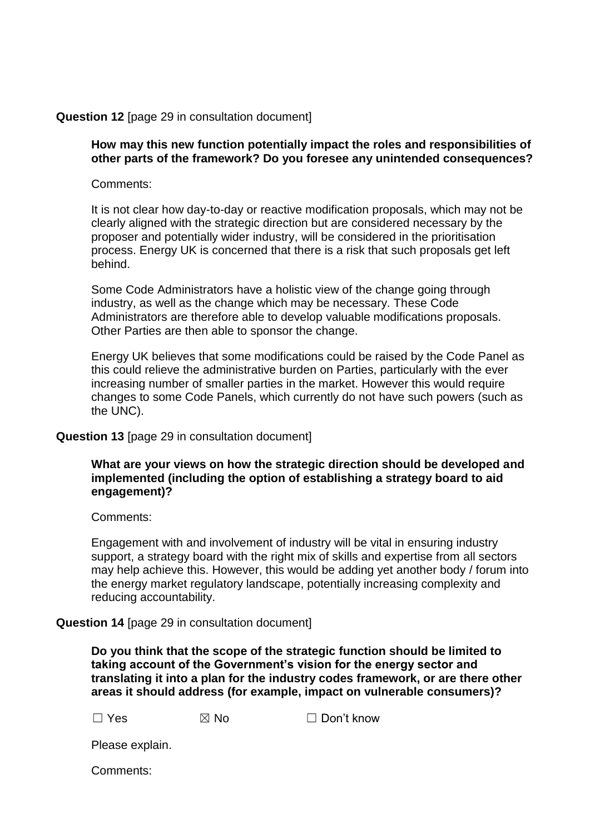## **Question 12** [page 29 in consultation document]

## **How may this new function potentially impact the roles and responsibilities of other parts of the framework? Do you foresee any unintended consequences?**

Comments:

It is not clear how day-to-day or reactive modification proposals, which may not be clearly aligned with the strategic direction but are considered necessary by the proposer and potentially wider industry, will be considered in the prioritisation process. Energy UK is concerned that there is a risk that such proposals get left behind.

Some Code Administrators have a holistic view of the change going through industry, as well as the change which may be necessary. These Code Administrators are therefore able to develop valuable modifications proposals. Other Parties are then able to sponsor the change.

Energy UK believes that some modifications could be raised by the Code Panel as this could relieve the administrative burden on Parties, particularly with the ever increasing number of smaller parties in the market. However this would require changes to some Code Panels, which currently do not have such powers (such as the UNC).

#### **Question 13** [page 29 in consultation document]

## **What are your views on how the strategic direction should be developed and implemented (including the option of establishing a strategy board to aid engagement)?**

Comments:

Engagement with and involvement of industry will be vital in ensuring industry support, a strategy board with the right mix of skills and expertise from all sectors may help achieve this. However, this would be adding yet another body / forum into the energy market regulatory landscape, potentially increasing complexity and reducing accountability.

**Question 14** [page 29 in consultation document]

**Do you think that the scope of the strategic function should be limited to taking account of the Government's vision for the energy sector and translating it into a plan for the industry codes framework, or are there other areas it should address (for example, impact on vulnerable consumers)?** 

| $\Box$ Yes | $\boxtimes$ No | $\Box$ Don't know |
|------------|----------------|-------------------|
|            |                |                   |

Please explain.

Comments: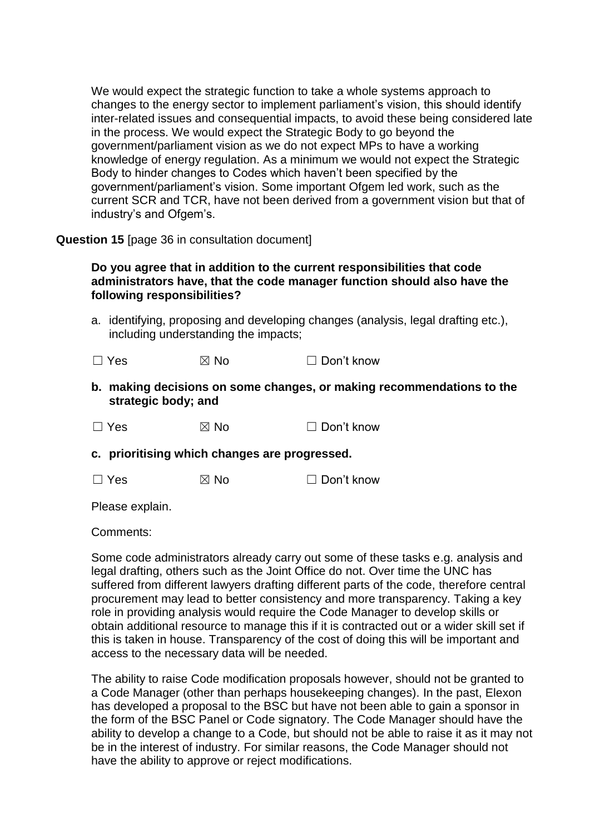We would expect the strategic function to take a whole systems approach to changes to the energy sector to implement parliament's vision, this should identify inter-related issues and consequential impacts, to avoid these being considered late in the process. We would expect the Strategic Body to go beyond the government/parliament vision as we do not expect MPs to have a working knowledge of energy regulation. As a minimum we would not expect the Strategic Body to hinder changes to Codes which haven't been specified by the government/parliament's vision. Some important Ofgem led work, such as the current SCR and TCR, have not been derived from a government vision but that of industry's and Ofgem's.

**Question 15** [page 36 in consultation document]

## **Do you agree that in addition to the current responsibilities that code administrators have, that the code manager function should also have the following responsibilities?**

a. identifying, proposing and developing changes (analysis, legal drafting etc.), including understanding the impacts;

 $\Box$  Yes  $\boxtimes$  No  $\Box$  Don't know

**b. making decisions on some changes, or making recommendations to the strategic body; and**

 $\Box$  Yes  $\boxtimes$  No  $\Box$  Don't know

**c. prioritising which changes are progressed.**

 $\Box$  Yes  $\boxtimes$  No  $\Box$  Don't know

Please explain.

Comments:

Some code administrators already carry out some of these tasks e.g. analysis and legal drafting, others such as the Joint Office do not. Over time the UNC has suffered from different lawyers drafting different parts of the code, therefore central procurement may lead to better consistency and more transparency. Taking a key role in providing analysis would require the Code Manager to develop skills or obtain additional resource to manage this if it is contracted out or a wider skill set if this is taken in house. Transparency of the cost of doing this will be important and access to the necessary data will be needed.

The ability to raise Code modification proposals however, should not be granted to a Code Manager (other than perhaps housekeeping changes). In the past, Elexon has developed a proposal to the BSC but have not been able to gain a sponsor in the form of the BSC Panel or Code signatory. The Code Manager should have the ability to develop a change to a Code, but should not be able to raise it as it may not be in the interest of industry. For similar reasons, the Code Manager should not have the ability to approve or reject modifications.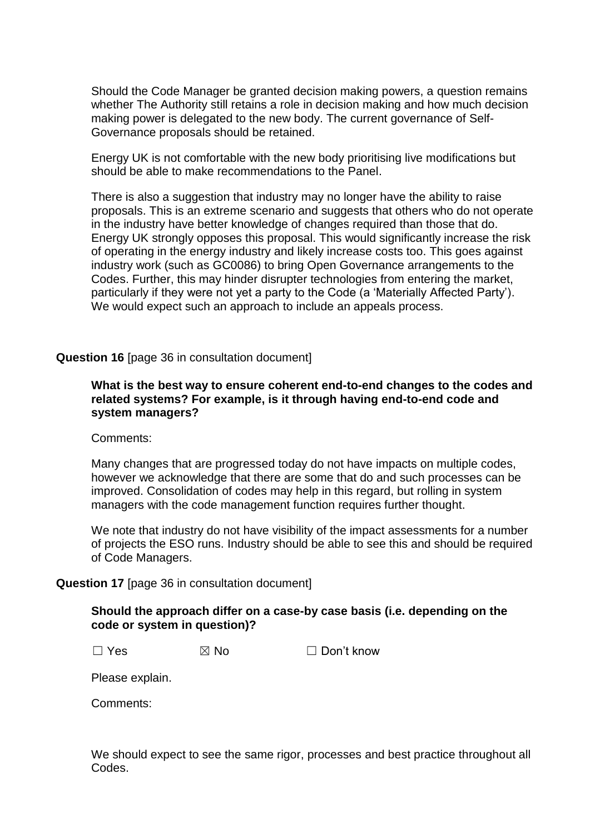Should the Code Manager be granted decision making powers, a question remains whether The Authority still retains a role in decision making and how much decision making power is delegated to the new body. The current governance of Self-Governance proposals should be retained.

Energy UK is not comfortable with the new body prioritising live modifications but should be able to make recommendations to the Panel.

There is also a suggestion that industry may no longer have the ability to raise proposals. This is an extreme scenario and suggests that others who do not operate in the industry have better knowledge of changes required than those that do. Energy UK strongly opposes this proposal. This would significantly increase the risk of operating in the energy industry and likely increase costs too. This goes against industry work (such as GC0086) to bring Open Governance arrangements to the Codes. Further, this may hinder disrupter technologies from entering the market, particularly if they were not yet a party to the Code (a 'Materially Affected Party'). We would expect such an approach to include an appeals process.

#### **Question 16** [page 36 in consultation document]

## **What is the best way to ensure coherent end-to-end changes to the codes and related systems? For example, is it through having end-to-end code and system managers?**

#### Comments:

Many changes that are progressed today do not have impacts on multiple codes, however we acknowledge that there are some that do and such processes can be improved. Consolidation of codes may help in this regard, but rolling in system managers with the code management function requires further thought.

We note that industry do not have visibility of the impact assessments for a number of projects the ESO runs. Industry should be able to see this and should be required of Code Managers.

#### **Question 17** [page 36 in consultation document]

## **Should the approach differ on a case-by case basis (i.e. depending on the code or system in question)?**

 $\Box$  Yes  $\boxtimes$  No  $\Box$  Don't know

Please explain.

Comments:

We should expect to see the same rigor, processes and best practice throughout all Codes.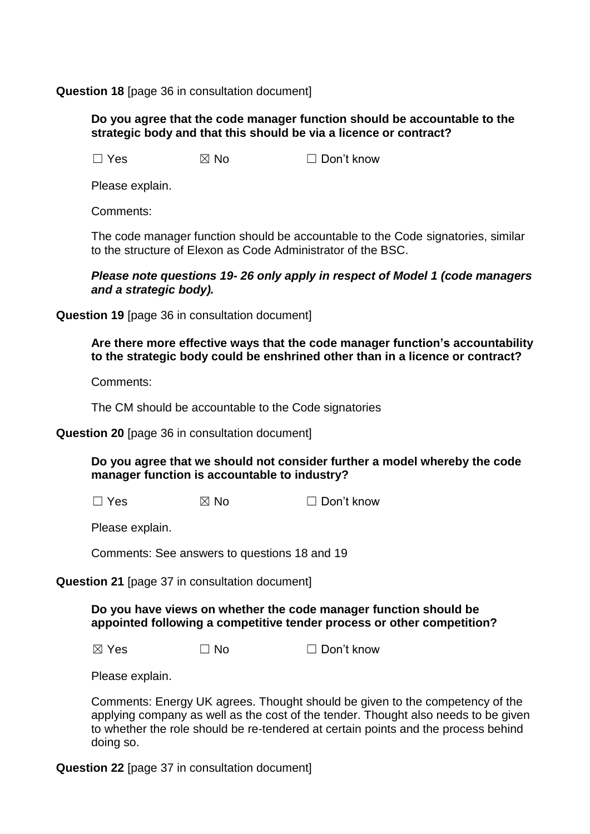## **Question 18** [page 36 in consultation document]

## **Do you agree that the code manager function should be accountable to the strategic body and that this should be via a licence or contract?**

 $\Box$  Yes  $\boxtimes$  No  $\Box$  Don't know

Please explain.

Comments:

The code manager function should be accountable to the Code signatories, similar to the structure of Elexon as Code Administrator of the BSC.

## *Please note questions 19- 26 only apply in respect of Model 1 (code managers and a strategic body).*

**Question 19** [page 36 in consultation document]

## **Are there more effective ways that the code manager function's accountability to the strategic body could be enshrined other than in a licence or contract?**

Comments:

The CM should be accountable to the Code signatories

**Question 20** [page 36 in consultation document]

## **Do you agree that we should not consider further a model whereby the code manager function is accountable to industry?**

 $\Box$  Yes  $\boxtimes$  No  $\Box$  Don't know

Please explain.

Comments: See answers to questions 18 and 19

**Question 21** [page 37 in consultation document]

**Do you have views on whether the code manager function should be appointed following a competitive tender process or other competition?** 

 $\boxtimes$  Yes  $\Box$  No  $\Box$  Don't know

Please explain.

Comments: Energy UK agrees. Thought should be given to the competency of the applying company as well as the cost of the tender. Thought also needs to be given to whether the role should be re-tendered at certain points and the process behind doing so.

**Question 22** [page 37 in consultation document]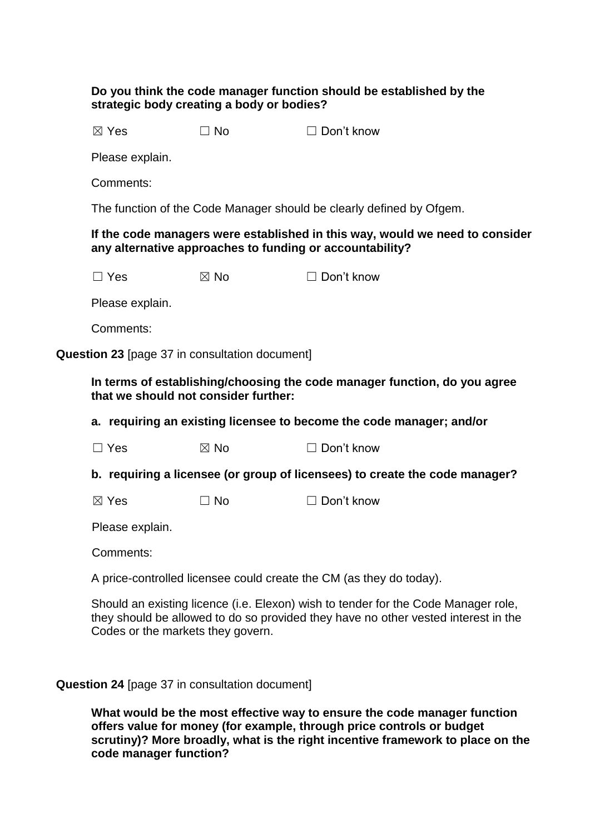## **Do you think the code manager function should be established by the strategic body creating a body or bodies?**

 $\boxtimes$  Yes  $\Box$  No  $\Box$  Don't know

Please explain.

Comments:

The function of the Code Manager should be clearly defined by Ofgem.

## **If the code managers were established in this way, would we need to consider any alternative approaches to funding or accountability?**

 $\Box$  Yes  $\boxtimes$  No  $\Box$  Don't know

Please explain.

Comments:

**Question 23** [page 37 in consultation document]

**In terms of establishing/choosing the code manager function, do you agree that we should not consider further:**

**a. requiring an existing licensee to become the code manager; and/or**

| $\Box$ Yes<br>$\boxtimes$ No | $\Box$ Don't know |
|------------------------------|-------------------|
|------------------------------|-------------------|

**b. requiring a licensee (or group of licensees) to create the code manager?**

 $\boxtimes$  Yes  $\Box$  No  $\Box$  Don't know

Please explain.

Comments:

A price-controlled licensee could create the CM (as they do today).

Should an existing licence (i.e. Elexon) wish to tender for the Code Manager role, they should be allowed to do so provided they have no other vested interest in the Codes or the markets they govern.

**Question 24** [page 37 in consultation document]

**What would be the most effective way to ensure the code manager function offers value for money (for example, through price controls or budget scrutiny)? More broadly, what is the right incentive framework to place on the code manager function?**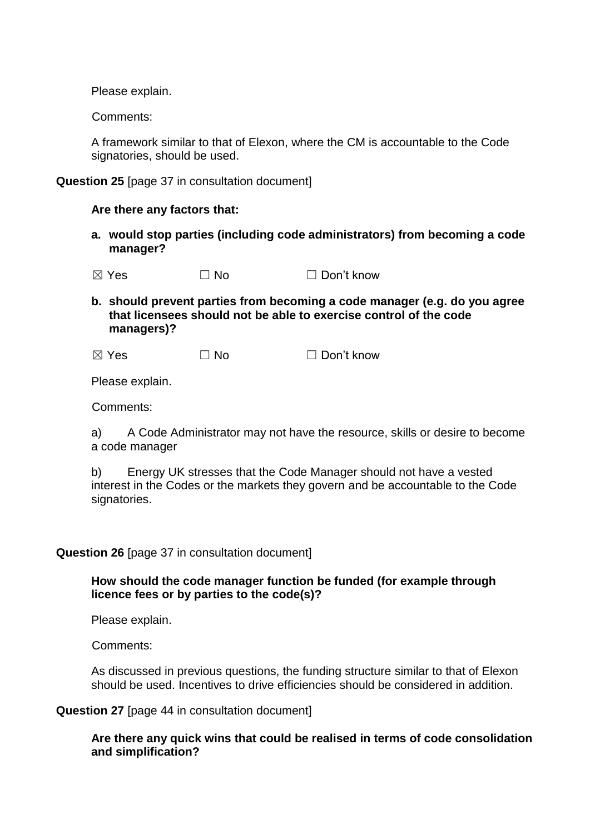Please explain.

Comments:

A framework similar to that of Elexon, where the CM is accountable to the Code signatories, should be used.

**Question 25** [page 37 in consultation document]

#### **Are there any factors that:**

**a. would stop parties (including code administrators) from becoming a code manager?**

 $\boxtimes$  Yes  $\Box$  No  $\Box$  Don't know

**b. should prevent parties from becoming a code manager (e.g. do you agree that licensees should not be able to exercise control of the code managers)?**

| $\boxtimes$ Yes | $\Box$ No | $\Box$ Don't know |
|-----------------|-----------|-------------------|
|                 |           |                   |

Please explain.

Comments:

a) A Code Administrator may not have the resource, skills or desire to become a code manager

b) Energy UK stresses that the Code Manager should not have a vested interest in the Codes or the markets they govern and be accountable to the Code signatories.

## **Question 26** [page 37 in consultation document]

## **How should the code manager function be funded (for example through licence fees or by parties to the code(s)?**

Please explain.

Comments:

As discussed in previous questions, the funding structure similar to that of Elexon should be used. Incentives to drive efficiencies should be considered in addition.

**Question 27** [page 44 in consultation document]

## **Are there any quick wins that could be realised in terms of code consolidation and simplification?**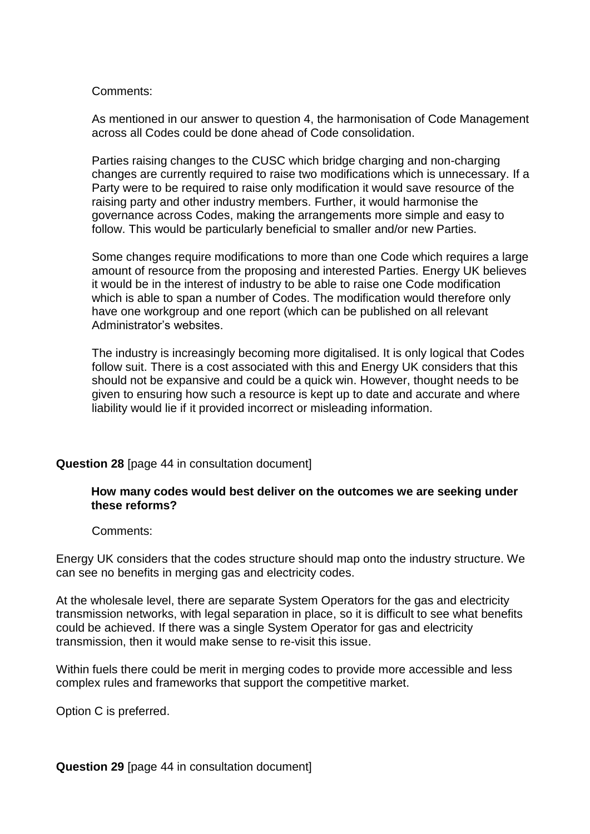#### Comments:

As mentioned in our answer to question 4, the harmonisation of Code Management across all Codes could be done ahead of Code consolidation.

Parties raising changes to the CUSC which bridge charging and non-charging changes are currently required to raise two modifications which is unnecessary. If a Party were to be required to raise only modification it would save resource of the raising party and other industry members. Further, it would harmonise the governance across Codes, making the arrangements more simple and easy to follow. This would be particularly beneficial to smaller and/or new Parties.

Some changes require modifications to more than one Code which requires a large amount of resource from the proposing and interested Parties. Energy UK believes it would be in the interest of industry to be able to raise one Code modification which is able to span a number of Codes. The modification would therefore only have one workgroup and one report (which can be published on all relevant Administrator's websites.

The industry is increasingly becoming more digitalised. It is only logical that Codes follow suit. There is a cost associated with this and Energy UK considers that this should not be expansive and could be a quick win. However, thought needs to be given to ensuring how such a resource is kept up to date and accurate and where liability would lie if it provided incorrect or misleading information.

## **Question 28** [page 44 in consultation document]

## **How many codes would best deliver on the outcomes we are seeking under these reforms?**

Comments:

Energy UK considers that the codes structure should map onto the industry structure. We can see no benefits in merging gas and electricity codes.

At the wholesale level, there are separate System Operators for the gas and electricity transmission networks, with legal separation in place, so it is difficult to see what benefits could be achieved. If there was a single System Operator for gas and electricity transmission, then it would make sense to re-visit this issue.

Within fuels there could be merit in merging codes to provide more accessible and less complex rules and frameworks that support the competitive market.

Option C is preferred.

**Question 29** [page 44 in consultation document]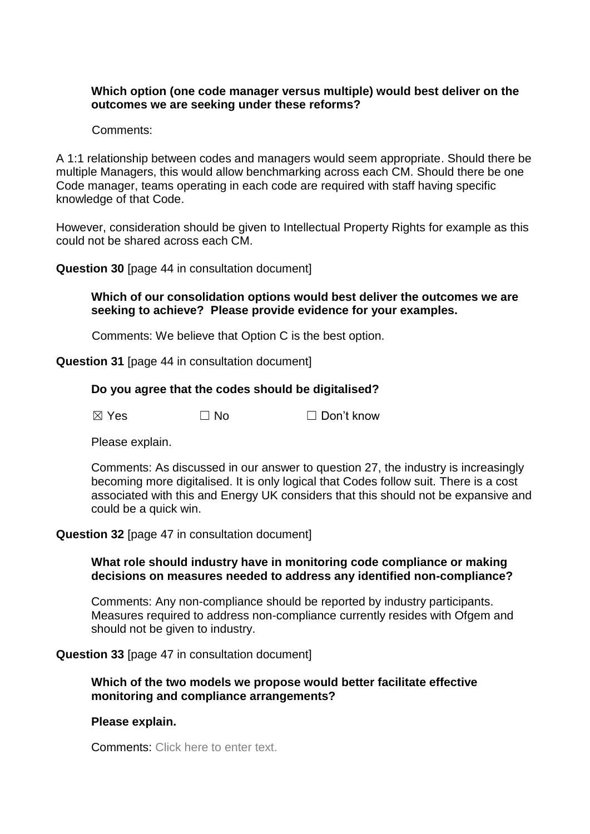## **Which option (one code manager versus multiple) would best deliver on the outcomes we are seeking under these reforms?**

Comments:

A 1:1 relationship between codes and managers would seem appropriate. Should there be multiple Managers, this would allow benchmarking across each CM. Should there be one Code manager, teams operating in each code are required with staff having specific knowledge of that Code.

However, consideration should be given to Intellectual Property Rights for example as this could not be shared across each CM.

**Question 30** [page 44 in consultation document]

**Which of our consolidation options would best deliver the outcomes we are seeking to achieve? Please provide evidence for your examples.** 

Comments: We believe that Option C is the best option.

**Question 31** [page 44 in consultation document]

## **Do you agree that the codes should be digitalised?**

**⊠ Yes □ No □ Don't know** 

Please explain.

Comments: As discussed in our answer to question 27, the industry is increasingly becoming more digitalised. It is only logical that Codes follow suit. There is a cost associated with this and Energy UK considers that this should not be expansive and could be a quick win.

#### **Question 32** [page 47 in consultation document]

## **What role should industry have in monitoring code compliance or making decisions on measures needed to address any identified non-compliance?**

Comments: Any non-compliance should be reported by industry participants. Measures required to address non-compliance currently resides with Ofgem and should not be given to industry.

#### **Question 33** [page 47 in consultation document]

## **Which of the two models we propose would better facilitate effective monitoring and compliance arrangements?**

#### **Please explain.**

Comments: Click here to enter text.